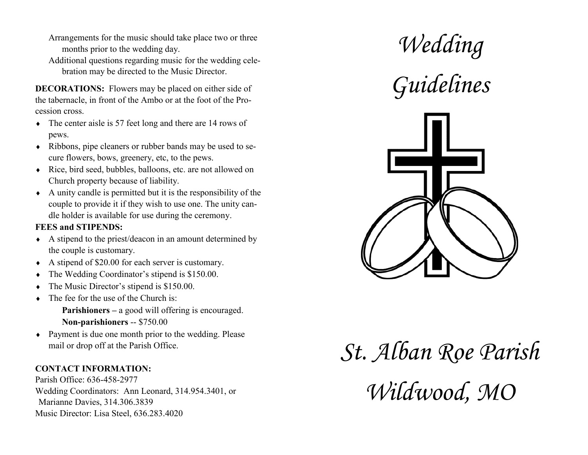- Arrangements for the music should take place two or three months prior to the wedding day.
- Additional questions regarding music for the wedding celebration may be directed to the Music Director.

**DECORATIONS:** Flowers may be placed on either side of the tabernacle, in front of the Ambo or at the foot of the Procession cross.

- The center aisle is 57 feet long and there are 14 rows of pews.
- Ribbons, pipe cleaners or rubber bands may be used to secure flowers, bows, greenery, etc, to the pews.
- Rice, bird seed, bubbles, balloons, etc. are not allowed on Church property because of liability.
- $\triangle$  A unity candle is permitted but it is the responsibility of the couple to provide it if they wish to use one. The unity candle holder is available for use during the ceremony.

### **FEES and STIPENDS:**

- A stipend to the priest/deacon in an amount determined by the couple is customary.
- A stipend of \$20.00 for each server is customary.
- The Wedding Coordinator's stipend is \$150.00.
- The Music Director's stipend is \$150.00.
- The fee for the use of the Church is:
	- **Parishioners –** a good will offering is encouraged. **Non-parishioners** -- \$750.00
- Payment is due one month prior to the wedding. Please mail or drop off at the Parish Office.

## **CONTACT INFORMATION:**

Parish Office: 636-458-2977 Wedding Coordinators: Ann Leonard, 314.954.3401, or Marianne Davies, 314.306.3839 Music Director: Lisa Steel, 636.283.4020







# *St. Alban Roe Parish Wildwood, MO*